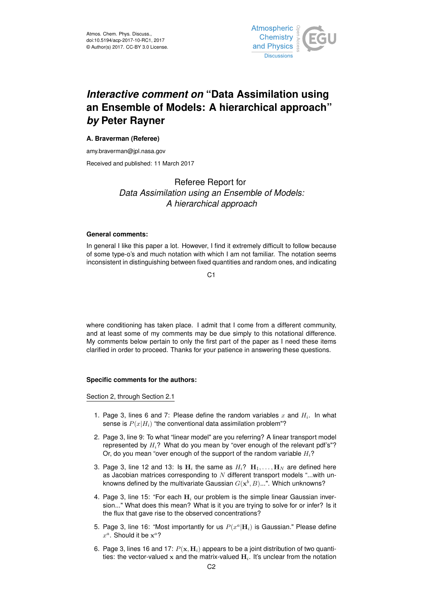

# *Interactive comment on* **"Data Assimilation using an Ensemble of Models: A hierarchical approach"** *by* **Peter Rayner**

### **A. Braverman (Referee)**

amy.braverman@jpl.nasa.gov

Received and published: 11 March 2017

## Referee Report for *Data Assimilation using an Ensemble of Models: A hierarchical approach*

#### **General comments:**

In general I like this paper a lot. However, I find it extremely difficult to follow because of some type-o's and much notation with which I am not familiar. The notation seems inconsistent in distinguishing between fixed quantities and random ones, and indicating

 $C<sub>1</sub>$ 

where conditioning has taken place. I admit that I come from a different community, and at least some of my comments may be due simply to this notational difference. My comments below pertain to only the first part of the paper as I need these items clarified in order to proceed. Thanks for your patience in answering these questions.

#### **Specific comments for the authors:**

Section 2, through Section 2.1

- 1. Page 3, lines 6 and 7: Please define the random variables  $x$  and  $H_i$ . In what sense is  $P(x|H_i)$  "the conventional data assimilation problem"?
- 2. Page 3, line 9: To what "linear model" are you referring? A linear transport model represented by  $H_i$ ? What do you mean by "over enough of the relevant pdf's"? Or, do you mean "over enough of the support of the random variable  $H_i$ ?
- 3. Page 3, line 12 and 13: Is  $H_i$  the same as  $H_i$ ?  $H_1, \ldots, H_N$  are defined here as Jacobian matrices corresponding to  $N$  different transport models "...with unknowns defined by the multivariate Gaussian  $G(\mathbf{x}^b, B) ...$ ". Which unknowns?
- 4. Page 3, line 15: "For each  $H_i$  our problem is the simple linear Gaussian inversion..." What does this mean? What is it you are trying to solve for or infer? Is it the flux that gave rise to the observed concentrations?
- 5. Page 3, line 16: "Most importantly for us  $P(x^a|\mathbf{H}_i)$  is Gaussian." Please define  $x^a$ . Should it be  $x^a$ ?
- 6. Page 3, lines 16 and 17:  $P(x, H_i)$  appears to be a joint distribution of two quantities: the vector-valued x and the matrix-valued  $H_i$ . It's unclear from the notation